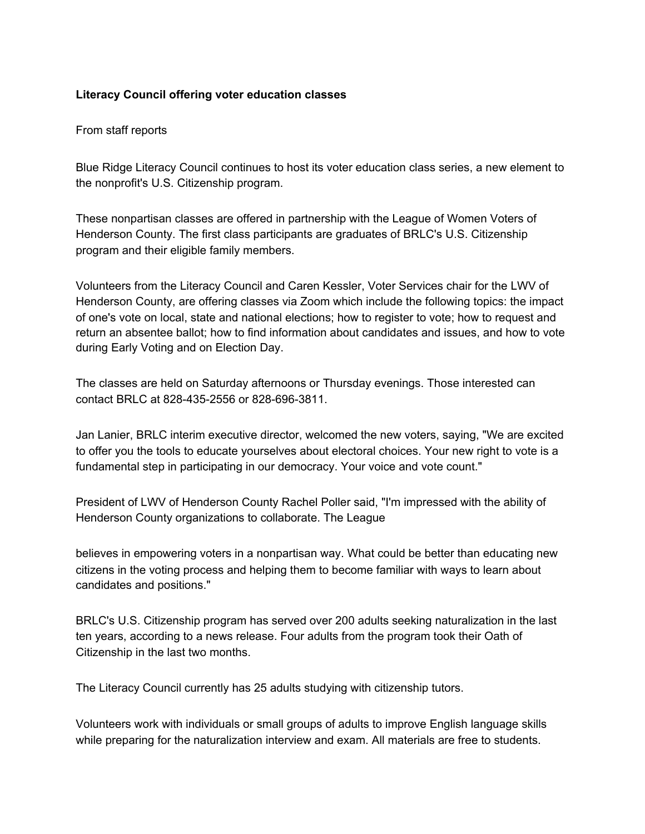## **Literacy Council offering voter education classes**

## From staff reports

Blue Ridge Literacy Council continues to host its voter education class series, a new element to the nonprofit's U.S. Citizenship program.

These nonpartisan classes are offered in partnership with the League of Women Voters of Henderson County. The first class participants are graduates of BRLC's U.S. Citizenship program and their eligible family members.

Volunteers from the Literacy Council and Caren Kessler, Voter Services chair for the LWV of Henderson County, are offering classes via Zoom which include the following topics: the impact of one's vote on local, state and national elections; how to register to vote; how to request and return an absentee ballot; how to find information about candidates and issues, and how to vote during Early Voting and on Election Day.

The classes are held on Saturday afternoons or Thursday evenings. Those interested can contact BRLC at 828-435-2556 or 828-696-3811.

Jan Lanier, BRLC interim executive director, welcomed the new voters, saying, "We are excited to offer you the tools to educate yourselves about electoral choices. Your new right to vote is a fundamental step in participating in our democracy. Your voice and vote count."

President of LWV of Henderson County Rachel Poller said, "I'm impressed with the ability of Henderson County organizations to collaborate. The League

believes in empowering voters in a nonpartisan way. What could be better than educating new citizens in the voting process and helping them to become familiar with ways to learn about candidates and positions."

BRLC's U.S. Citizenship program has served over 200 adults seeking naturalization in the last ten years, according to a news release. Four adults from the program took their Oath of Citizenship in the last two months.

The Literacy Council currently has 25 adults studying with citizenship tutors.

Volunteers work with individuals or small groups of adults to improve English language skills while preparing for the naturalization interview and exam. All materials are free to students.